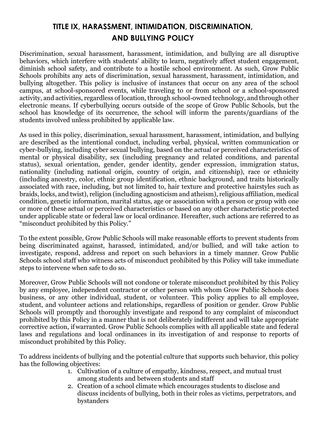# **TITLE IX, HARASSMENT, INTIMIDATION, DISCRIMINATION, AND BULLYING POLICY**

Discrimination, sexual harassment, harassment, intimidation, and bullying are all disruptive behaviors, which interfere with students' ability to learn, negatively affect student engagement, diminish school safety, and contribute to a hostile school environment. As such, Grow Public Schools prohibits any acts of discrimination, sexual harassment, harassment, intimidation, and bullying altogether. This policy is inclusive of instances that occur on any area of the school campus, at school-sponsored events, while traveling to or from school or a school-sponsored activity, and activities, regardless of location, through school-owned technology, and through other electronic means. If cyberbullying occurs outside of the scope of Grow Public Schools, but the school has knowledge of its occurrence, the school will inform the parents/guardians of the students involved unless prohibited by applicable law.

As used in this policy, discrimination, sexual harassment, harassment, intimidation, and bullying are described as the intentional conduct, including verbal, physical, written communication or cyber-bullying, including cyber sexual bullying, based on the actual or perceived characteristics of mental or physical disability, sex (including pregnancy and related conditions, and parental status), sexual orientation, gender, gender identity, gender expression, immigration status, nationality (including national origin, country of origin, and citizenship), race or ethnicity (including ancestry, color, ethnic group identification, ethnic background, and traits historically associated with race, including, but not limited to, hair texture and protective hairstyles such as braids, locks, and twist), religion (including agnosticism and atheism), religious affiliation, medical condition, genetic information, marital status, age or association with a person or group with one or more of these actual or perceived characteristics or based on any other characteristic protected under applicable state or federal law or local ordinance. Hereafter, such actions are referred to as "misconduct prohibited by this Policy."

To the extent possible, Grow Public Schools will make reasonable efforts to prevent students from being discriminated against, harassed, intimidated, and/or bullied, and will take action to investigate, respond, address and report on such behaviors in a timely manner. Grow Public Schools school staff who witness acts of misconduct prohibited by this Policy will take immediate steps to intervene when safe to do so.

Moreover, Grow Public Schools will not condone or tolerate misconduct prohibited by this Policy by any employee, independent contractor or other person with whom Grow Public Schools does business, or any other individual, student, or volunteer. This policy applies to all employee, student, and volunteer actions and relationships, regardless of position or gender. Grow Public Schools will promptly and thoroughly investigate and respond to any complaint of misconduct prohibited by this Policy in a manner that is not deliberately indifferent and will take appropriate corrective action, ifwarranted. Grow Public Schools complies with all applicable state and federal laws and regulations and local ordinances in its investigation of and response to reports of misconduct prohibited by this Policy.

To address incidents of bullying and the potential culture that supports such behavior, this policy has the following objectives:

- 1. Cultivation of a culture of empathy, kindness, respect, and mutual trust among students and between students and staff
- 2. Creation of a school climate which encourages students to disclose and discuss incidents of bullying, both in their roles as victims, perpetrators, and bystanders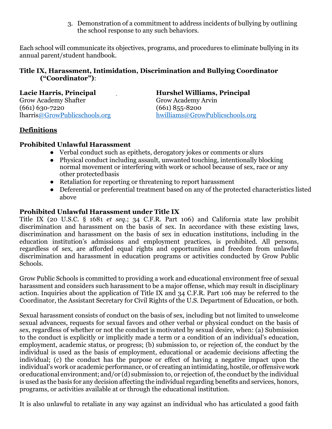3. Demonstration of a commitment to address incidents of bullying by outlining the school response to any such behaviors.

Each school will communicate its objectives, programs, and procedures to eliminate bullying in its annual parent/student handbook.

#### **Title IX, Harassment, Intimidation, Discrimination and Bullying Coordinator ("Coordinator")**:

**Lacie Harris, Principal Hurshel Williams, Principal**  Grow Academy Shafter (661) 630-7220 (661) 855-8200

lharri[s@GrowPublicschools.org](mailto:@GrowPublicschools.org) [hwilliams@GrowPublicschools.org](mailto:hwilliams@GrowPublicschools.org) 

## **Definitions**

#### **Prohibited Unlawful Harassment**

- Verbal conduct such as epithets, derogatory jokes or comments or slurs
- Physical conduct including assault, unwanted touching, intentionally blocking normal movement or interfering with work or school because of sex, race or any other protected basis
- Retaliation for reporting or threatening to report harassment
- Deferential or preferential treatment based on any of the protected characteristics listed above

## **Prohibited Unlawful Harassment under Title IX**

Title IX (20 U.S.C. § 1681 *et seq.*; 34 C.F.R. Part 106) and California state law prohibit discrimination and harassment on the basis of sex. In accordance with these existing laws, discrimination and harassment on the basis of sex in education institutions, including in the education institution's admissions and employment practices, is prohibited. All persons, regardless of sex, are afforded equal rights and opportunities and freedom from unlawful discrimination and harassment in education programs or activities conducted by Grow Public Schools.

Grow Public Schools is committed to providing a work and educational environment free of sexual harassment and considers such harassment to be a major offense, which may result in disciplinary action. Inquiries about the application of Title IX and 34 C.F.R. Part 106 may be referred to the Coordinator, the Assistant Secretary for Civil Rights of the U.S. Department of Education, or both.

Sexual harassment consists of conduct on the basis of sex, including but not limited to unwelcome sexual advances, requests for sexual favors and other verbal or physical conduct on the basis of sex, regardless of whether or not the conduct is motivated by sexual desire, when: (a) Submission to the conduct is explicitly or implicitly made a term or a condition of an individual's education, employment, academic status, or progress; (b) submission to, or rejection of, the conduct by the individual is used as the basis of employment, educational or academic decisions affecting the individual; (c) the conduct has the purpose or effect of having a negative impact upon the individual's work or academic performance, or of creating an intimidating, hostile, or offensive work or educational environment; and/or (d) submission to, or rejection of, the conduct by the individual is used as the basis for any decision affecting the individual regarding benefits and services, honors, programs, or activities available at or through the educational institution.

It is also unlawful to retaliate in any way against an individual who has articulated a good faith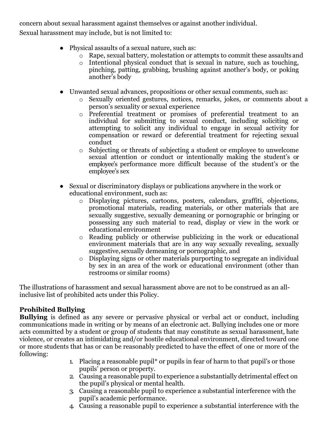concern about sexual harassment against themselves or against another individual.

Sexual harassment may include, but is not limited to:

- Physical assaults of a sexual nature, such as:
	- Rape, sexual battery, molestation or attempts to commit these assaults and
	- o Intentional physical conduct that is sexual in nature, such as touching, pinching, patting, grabbing, brushing against another's body, or poking another's body
- Unwanted sexual advances, propositions or other sexual comments, such as:
	- o Sexually oriented gestures, notices, remarks, jokes, or comments about a person's sexuality or sexual experience
	- o Preferential treatment or promises of preferential treatment to an individual for submitting to sexual conduct, including soliciting or attempting to solicit any individual to engage in sexual activity for compensation or reward or deferential treatment for rejecting sexual conduct
	- o Subjecting or threats of subjecting a student or employee to unwelcome sexual attention or conduct or intentionally making the student's or employee's performance more difficult because of the student's or the employee's sex
- Sexual or discriminatory displays or publications anywhere in the work or educational environment, such as:
	- o Displaying pictures, cartoons, posters, calendars, graffiti, objections, promotional materials, reading materials, or other materials that are sexually suggestive, sexually demeaning or pornographic or bringing or possessing any such material to read, display or view in the work or educational environment
	- o Reading publicly or otherwise publicizing in the work or educational environment materials that are in any way sexually revealing, sexually suggestive,sexually demeaning or pornographic, and
	- o Displaying signs or other materials purporting to segregate an individual by sex in an area of the work or educational environment (other than restrooms or similar rooms)

The illustrations of harassment and sexual harassment above are not to be construed as an allinclusive list of prohibited acts under this Policy.

## **Prohibited Bullying**

**Bullying** is defined as any severe or pervasive physical or verbal act or conduct, including communications made in writing or by means of an electronic act. Bullying includes one or more acts committed by a student or group of students that may constitute as sexual harassment, hate violence, or creates an intimidating and/or hostile educational environment, directed toward one or more students that has or can be reasonably predicted to have the effect of one or more of the following:

- 1. Placing a reasonable pupil\* or pupils in fear of harm to that pupil's or those pupils' person or property.
- 2. Causing a reasonable pupil to experience a substantially detrimental effect on the pupil's physical or mental health.
- 3. Causing a reasonable pupil to experience a substantial interference with the pupil's academic performance.
- 4. Causing a reasonable pupil to experience a substantial interference with the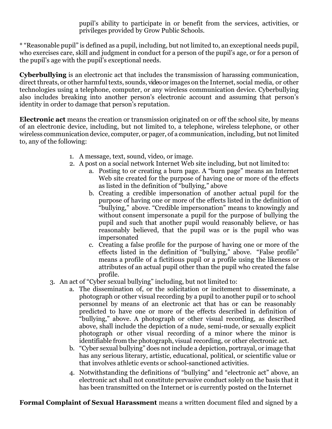pupil's ability to participate in or benefit from the services, activities, or privileges provided by Grow Public Schools.

\* "Reasonable pupil" is defined as a pupil, including, but not limited to, an exceptional needs pupil, who exercises care, skill and judgment in conduct for a person of the pupil's age, or for a person of the pupil's age with the pupil's exceptional needs.

**Cyberbullying** is an electronic act that includes the transmission of harassing communication, direct threats, or other harmful texts, sounds, video or images on the Internet, social media, or other technologies using a telephone, computer, or any wireless communication device. Cyberbullying also includes breaking into another person's electronic account and assuming that person's identity in order to damage that person's reputation.

**Electronic act** means the creation or transmission originated on or off the school site, by means of an electronic device, including, but not limited to, a telephone, wireless telephone, or other wireless communication device, computer, or pager, of a communication, including, but not limited to, any of the following:

- 1. A message, text, sound, video, or image.
- 2. A post on a social network Internet Web site including, but not limited to:
	- a. Posting to or creating a burn page. A "burn page" means an Internet Web site created for the purpose of having one or more of the effects as listed in the definition of "bullying," above
	- b. Creating a credible impersonation of another actual pupil for the purpose of having one or more of the effects listed in the definition of "bullying," above. "Credible impersonation" means to knowingly and without consent impersonate a pupil for the purpose of bullying the pupil and such that another pupil would reasonably believe, or has reasonably believed, that the pupil was or is the pupil who was impersonated
	- c. Creating a false profile for the purpose of having one or more of the effects listed in the definition of "bullying," above. "False profile" means a profile of a fictitious pupil or a profile using the likeness or attributes of an actual pupil other than the pupil who created the false profile.
- 3. An act of "Cyber sexual bullying" including, but not limited to:
	- a. The dissemination of, or the solicitation or incitement to disseminate, a photograph or other visual recording by a pupil to another pupil or to school personnel by means of an electronic act that has or can be reasonably predicted to have one or more of the effects described in definition of "bullying," above. A photograph or other visual recording, as described above, shall include the depiction of a nude, semi-nude, or sexually explicit photograph or other visual recording of a minor where the minor is identifiable from the photograph, visual recording, or other electronic act.
	- b. "Cyber sexual bullying" does not include a depiction, portrayal, or image that has any serious literary, artistic, educational, political, or scientific value or that involves athletic events or school-sanctioned activities.
	- 4. Notwithstanding the definitions of "bullying" and "electronic act" above, an electronic act shall not constitute pervasive conduct solely on the basis that it has been transmitted on the Internet or is currently posted on the Internet

**Formal Complaint of Sexual Harassment** means a written document filed and signed by a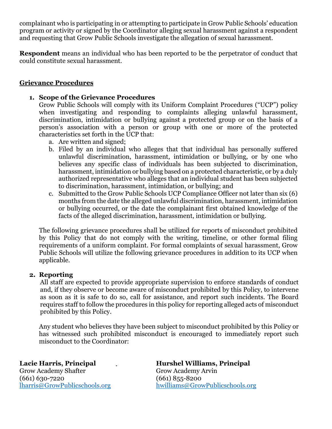complainant who is participating in or attempting to participate in Grow Public Schools' education program or activity or signed by the Coordinator alleging sexual harassment against a respondent and requesting that Grow Public Schools investigate the allegation of sexual harassment.

**Respondent** means an individual who has been reported to be the perpetrator of conduct that could constitute sexual harassment.

#### **Grievance Procedures**

#### **1. Scope of the Grievance Procedures**

Grow Public Schools will comply with its Uniform Complaint Procedures ("UCP") policy when investigating and responding to complaints alleging unlawful harassment, discrimination, intimidation or bullying against a protected group or on the basis of a person's association with a person or group with one or more of the protected characteristics set forth in the UCP that:

- a. Are written and signed;
- b. Filed by an individual who alleges that that individual has personally suffered unlawful discrimination, harassment, intimidation or bullying, or by one who believes any specific class of individuals has been subjected to discrimination, harassment, intimidation or bullying based on a protected characteristic, or by a duly authorized representative who alleges that an individual student has been subjected to discrimination, harassment, intimidation, or bullying; and
- c. Submitted to the Grow Public Schools UCP Compliance Officer not later than six (6) months from the date the alleged unlawful discrimination, harassment, intimidation or bullying occurred, or the date the complainant first obtained knowledge of the facts of the alleged discrimination, harassment, intimidation or bullying.

The following grievance procedures shall be utilized for reports of misconduct prohibited by this Policy that do not comply with the writing, timeline, or other formal filing requirements of a uniform complaint. For formal complaints of sexual harassment, Grow Public Schools will utilize the following grievance procedures in addition to its UCP when applicable.

#### **2. Reporting**

All staff are expected to provide appropriate supervision to enforce standards of conduct and, if they observe or become aware of misconduct prohibited by this Policy, to intervene as soon as it is safe to do so, call for assistance, and report such incidents. The Board requires staff to follow the procedures in this policy for reporting alleged acts of misconduct prohibited by this Policy.

Any student who believes they have been subject to misconduct prohibited by this Policy or has witnessed such prohibited misconduct is encouraged to immediately report such misconduct to the Coordinator:

Grow Academy Shafter Grow Academy Arvin (661) 630-7220<br>
lharris@GrowPublicschools.org hwilliams@Grov

Lacie Harris, Principal **Hurshel Williams, Principal** hwilliams@GrowPublicschools.org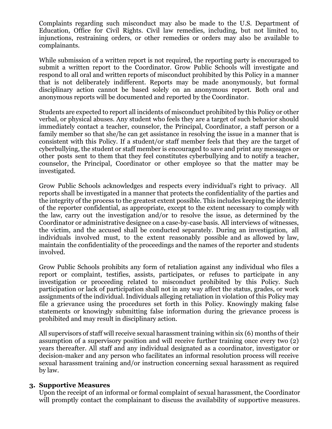Complaints regarding such misconduct may also be made to the U.S. Department of Education, Office for Civil Rights. Civil law remedies, including, but not limited to, injunctions, restraining orders, or other remedies or orders may also be available to complainants.

While submission of a written report is not required, the reporting party is encouraged to submit a written report to the Coordinator. Grow Public Schools will investigate and respond to all oral and written reports of misconduct prohibited by this Policy in a manner that is not deliberately indifferent. Reports may be made anonymously, but formal disciplinary action cannot be based solely on an anonymous report. Both oral and anonymous reports will be documented and reported by the Coordinator.

Students are expected to report all incidents of misconduct prohibited by this Policy or other verbal, or physical abuses. Any student who feels they are a target of such behavior should immediately contact a teacher, counselor, the Principal, Coordinator, a staff person or a family member so that she/he can get assistance in resolving the issue in a manner that is consistent with this Policy. If a student/or staff member feels that they are the target of cyberbullying, the student or staff member is encouraged to save and print any messages or other posts sent to them that they feel constitutes cyberbullying and to notify a teacher, counselor, the Principal, Coordinator or other employee so that the matter may be investigated.

Grow Public Schools acknowledges and respects every individual's right to privacy. All reports shall be investigated in a manner that protects the confidentiality of the parties and the integrity of the process to the greatest extent possible. This includes keeping the identity of the reporter confidential, as appropriate, except to the extent necessary to comply with the law, carry out the investigation and/or to resolve the issue, as determined by the Coordinator or administrative designee on a case-by-case basis. All interviews of witnesses, the victim, and the accused shall be conducted separately. During an investigation, all individuals involved must, to the extent reasonably possible and as allowed by law, maintain the confidentiality of the proceedings and the names of the reporter and students involved.

Grow Public Schools prohibits any form of retaliation against any individual who files a report or complaint, testifies, assists, participates, or refuses to participate in any investigation or proceeding related to misconduct prohibited by this Policy. Such participation or lack of participation shall not in any way affect the status, grades, or work assignments of the individual. Individuals alleging retaliation in violation of this Policy may file a grievance using the procedures set forth in this Policy. Knowingly making false statements or knowingly submitting false information during the grievance process is prohibited and may result in disciplinary action.

All supervisors of staff will receive sexual harassment training within six (6) months of their assumption of a supervisory position and will receive further training once every two (2) years thereafter. All staff and any individual designated as a coordinator, investigator or decision-maker and any person who facilitates an informal resolution process will receive sexual harassment training and/or instruction concerning sexual harassment as required by law.

#### **3. Supportive Measures**

Upon the receipt of an informal or formal complaint of sexual harassment, the Coordinator will promptly contact the complainant to discuss the availability of supportive measures.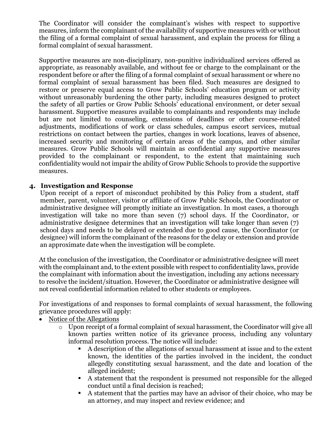The Coordinator will consider the complainant's wishes with respect to supportive measures, inform the complainant of the availability of supportive measures with or without the filing of a formal complaint of sexual harassment, and explain the process for filing a formal complaint of sexual harassment.

Supportive measures are non-disciplinary, non-punitive individualized services offered as appropriate, as reasonably available, and without fee or charge to the complainant or the respondent before or after the filing of a formal complaint of sexual harassment or where no formal complaint of sexual harassment has been filed. Such measures are designed to restore or preserve equal access to Grow Public Schools' education program or activity without unreasonably burdening the other party, including measures designed to protect the safety of all parties or Grow Public Schools' educational environment, or deter sexual harassment. Supportive measures available to complainants and respondents may include but are not limited to counseling, extensions of deadlines or other course-related adjustments, modifications of work or class schedules, campus escort services, mutual restrictions on contact between the parties, changes in work locations, leaves of absence, increased security and monitoring of certain areas of the campus, and other similar measures. Grow Public Schools will maintain as confidential any supportive measures provided to the complainant or respondent, to the extent that maintaining such confidentiality would not impair the ability of Grow Public Schools to provide the supportive measures.

#### **4. Investigation and Response**

Upon receipt of a report of misconduct prohibited by this Policy from a student, staff member, parent, volunteer, visitor or affiliate of Grow Public Schools, the Coordinator or administrative designee will promptly initiate an investigation. In most cases, a thorough investigation will take no more than seven (7) school days. If the Coordinator, or administrative designee determines that an investigation will take longer than seven (7) school days and needs to be delayed or extended due to good cause, the Coordinator (or designee) will inform the complainant of the reasons for the delay or extension and provide an approximate date when the investigation will be complete.

At the conclusion of the investigation, the Coordinator or administrative designee will meet with the complainant and, to the extent possible with respect to confidentiality laws, provide the complainant with information about the investigation, including any actions necessary to resolve the incident/situation. However, the Coordinator or administrative designee will not reveal confidential information related to other students or employees.

For investigations of and responses to formal complaints of sexual harassment, the following grievance procedures will apply:

- Notice of the Allegations
	- o Upon receipt of a formal complaint of sexual harassment, the Coordinator will give all known parties written notice of its grievance process, including any voluntary informal resolution process. The notice will include:
		- A description of the allegations of sexual harassment at issue and to the extent known, the identities of the parties involved in the incident, the conduct allegedly constituting sexual harassment, and the date and location of the alleged incident;
		- A statement that the respondent is presumed not responsible for the alleged conduct until a final decision is reached;
		- A statement that the parties may have an advisor of their choice, who may be an attorney, and may inspect and review evidence; and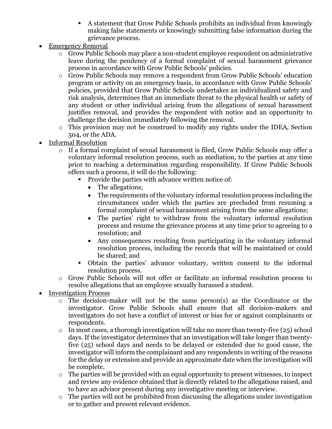- A statement that Grow Public Schools prohibits an individual from knowingly making false statements or knowingly submitting false information during the grievance process.
- **Emergency Removal** 
	- o Grow Public Schools may place a non-student employee respondent on administrative leave during the pendency of a formal complaint of sexual harassment grievance process in accordance with Grow Public Schools' policies.
	- o Grow Public Schools may remove a respondent from Grow Public Schools' education program or activity on an emergency basis, in accordance with Grow Public Schools' policies, provided that Grow Public Schools undertakes an individualized safety and risk analysis, determines that an immediate threat to the physical health or safety of any student or other individual arising from the allegations of sexual harassment justifies removal, and provides the respondent with notice and an opportunity to challenge the decision immediately following the removal.
	- o This provision may not be construed to modify any rights under the IDEA, Section 504, or the ADA.
- Informal Resolution
	- o If a formal complaint of sexual harassment is filed, Grow Public Schools may offer a voluntary informal resolution process, such as mediation, to the parties at any time prior to reaching a determination regarding responsibility. If Grow Public Schools offers such a process, it will do the following:
		- **Provide the parties with advance written notice of:** 
			- The allegations;
			- The requirements of the voluntary informal resolution process including the circumstances under which the parties are precluded from resuming a formal complaint of sexual harassment arising from the same allegations;
			- The parties' right to withdraw from the voluntary informal resolution process and resume the grievance process at any time prior to agreeing to a resolution; and
			- Any consequences resulting from participating in the voluntary informal resolution process, including the records that will be maintained or could be shared; and
		- Obtain the parties' advance voluntary, written consent to the informal resolution process.
	- o Grow Public Schools will not offer or facilitate an informal resolution process to resolve allegations that an employee sexually harassed a student.
- Investigation Process
	- o The decision-maker will not be the same person(s) as the Coordinator or the investigator. Grow Public Schools shall ensure that all decision-makers and investigators do not have a conflict of interest or bias for or against complainants or respondents.
	- $\circ$  In most cases, a thorough investigation will take no more than twenty-five (25) school days. If the investigator determines that an investigation will take longer than twentyfive (25) school days and needs to be delayed or extended due to good cause, the investigator will inform the complainant and any respondents in writing of the reasons for the delay or extension and provide an approximate date when the investigation will be complete.
	- o The parties will be provided with an equal opportunity to present witnesses, to inspect and review any evidence obtained that is directly related to the allegations raised, and to have an advisor present during any investigative meeting or interview.
	- o The parties will not be prohibited from discussing the allegations under investigation or to gather and present relevant evidence.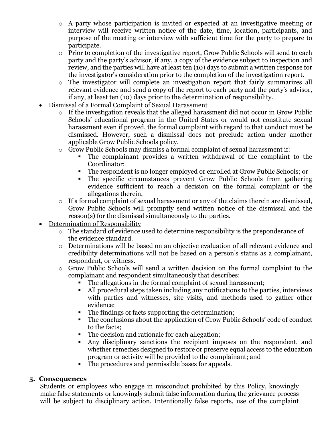- o A party whose participation is invited or expected at an investigative meeting or interview will receive written notice of the date, time, location, participants, and purpose of the meeting or interview with sufficient time for the party to prepare to participate.
- $\circ$  Prior to completion of the investigative report, Grow Public Schools will send to each party and the party's advisor, if any, a copy of the evidence subject to inspection and review, and the parties will have at least ten (10) days to submit a written response for the investigator's consideration prior to the completion of the investigation report.
- o The investigator will complete an investigation report that fairly summarizes all relevant evidence and send a copy of the report to each party and the party's advisor, if any, at least ten (10) days prior to the determination of responsibility.
- Dismissal of a Formal Complaint of Sexual Harassment
	- o If the investigation reveals that the alleged harassment did not occur in Grow Public Schools' educational program in the United States or would not constitute sexual harassment even if proved, the formal complaint with regard to that conduct must be dismissed. However, such a dismissal does not preclude action under another applicable Grow Public Schools policy.
	- o Grow Public Schools may dismiss a formal complaint of sexual harassment if:
		- The complainant provides a written withdrawal of the complaint to the Coordinator;
		- The respondent is no longer employed or enrolled at Grow Public Schools; or
		- The specific circumstances prevent Grow Public Schools from gathering evidence sufficient to reach a decision on the formal complaint or the allegations therein.
	- o If a formal complaint of sexual harassment or any of the claims therein are dismissed, Grow Public Schools will promptly send written notice of the dismissal and the reason(s) for the dismissal simultaneously to the parties.
- Determination of Responsibility
	- o The standard of evidence used to determine responsibility is the preponderance of the evidence standard.
	- o Determinations will be based on an objective evaluation of all relevant evidence and credibility determinations will not be based on a person's status as a complainant, respondent, or witness.
	- o Grow Public Schools will send a written decision on the formal complaint to the complainant and respondent simultaneously that describes:
		- The allegations in the formal complaint of sexual harassment;
		- All procedural steps taken including any notifications to the parties, interviews with parties and witnesses, site visits, and methods used to gather other evidence;
		- The findings of facts supporting the determination;
		- The conclusions about the application of Grow Public Schools' code of conduct to the facts;
		- The decision and rationale for each allegation;
		- Any disciplinary sanctions the recipient imposes on the respondent, and whether remedies designed to restore or preserve equal access to the education program or activity will be provided to the complainant; and
		- The procedures and permissible bases for appeals.

## **5. Consequences**

Students or employees who engage in misconduct prohibited by this Policy, knowingly make false statements or knowingly submit false information during the grievance process will be subject to disciplinary action. Intentionally false reports, use of the complaint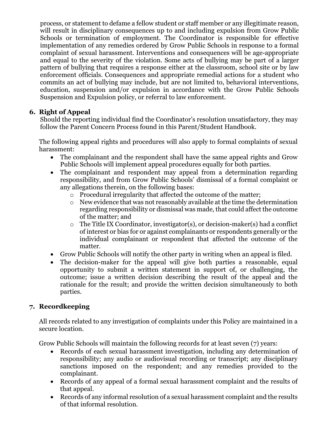process, or statement to defame a fellow student or staff member or any illegitimate reason, will result in disciplinary consequences up to and including expulsion from Grow Public Schools or termination of employment. The Coordinator is responsible for effective implementation of any remedies ordered by Grow Public Schools in response to a formal complaint of sexual harassment. Interventions and consequences will be age-appropriate and equal to the severity of the violation. Some acts of bullying may be part of a larger pattern of bullying that requires a response either at the classroom, school site or by law enforcement officials. Consequences and appropriate remedial actions for a student who commits an act of bullying may include, but are not limited to, behavioral interventions, education, suspension and/or expulsion in accordance with the Grow Public Schools Suspension and Expulsion policy, or referral to law enforcement.

### **6. Right of Appeal**

Should the reporting individual find the Coordinator's resolution unsatisfactory, they may follow the Parent Concern Process found in this Parent/Student Handbook.

The following appeal rights and procedures will also apply to formal complaints of sexual harassment:

- The complainant and the respondent shall have the same appeal rights and Grow Public Schools will implement appeal procedures equally for both parties.
- The complainant and respondent may appeal from a determination regarding responsibility, and from Grow Public Schools' dismissal of a formal complaint or any allegations therein, on the following bases:
	- o Procedural irregularity that affected the outcome of the matter;
	- o New evidence that was not reasonably available at the time the determination regarding responsibility or dismissal was made, that could affect the outcome of the matter; and
	- o The Title IX Coordinator, investigator(s), or decision-maker(s) had a conflict of interest or bias for or against complainants or respondents generally or the individual complainant or respondent that affected the outcome of the matter.
- Grow Public Schools will notify the other party in writing when an appeal is filed.
- The decision-maker for the appeal will give both parties a reasonable, equal opportunity to submit a written statement in support of, or challenging, the outcome; issue a written decision describing the result of the appeal and the rationale for the result; and provide the written decision simultaneously to both parties.

## **7. Recordkeeping**

All records related to any investigation of complaints under this Policy are maintained in a secure location.

Grow Public Schools will maintain the following records for at least seven (7) years:

- Records of each sexual harassment investigation, including any determination of responsibility; any audio or audiovisual recording or transcript; any disciplinary sanctions imposed on the respondent; and any remedies provided to the complainant.
- Records of any appeal of a formal sexual harassment complaint and the results of that appeal.
- Records of any informal resolution of a sexual harassment complaint and the results of that informal resolution.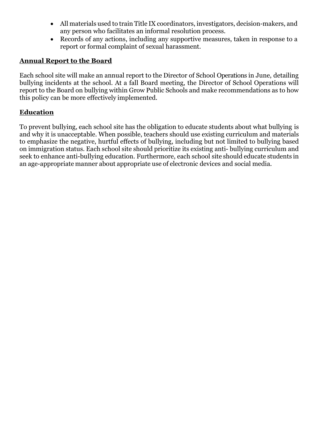- All materials used to train Title IX coordinators, investigators, decision-makers, and any person who facilitates an informal resolution process.
- Records of any actions, including any supportive measures, taken in response to a report or formal complaint of sexual harassment.

## **Annual Report to the Board**

Each school site will make an annual report to the Director of School Operations in June, detailing bullying incidents at the school. At a fall Board meeting, the Director of School Operations will report to the Board on bullying within Grow Public Schools and make recommendations as to how this policy can be more effectively implemented.

### **Education**

To prevent bullying, each school site has the obligation to educate students about what bullying is and why it is unacceptable. When possible, teachers should use existing curriculum and materials to emphasize the negative, hurtful effects of bullying, including but not limited to bullying based on immigration status. Each school site should prioritize its existing anti- bullying curriculum and seek to enhance anti-bullying education. Furthermore, each school site should educate students in an age-appropriate manner about appropriate use of electronic devices and social media.